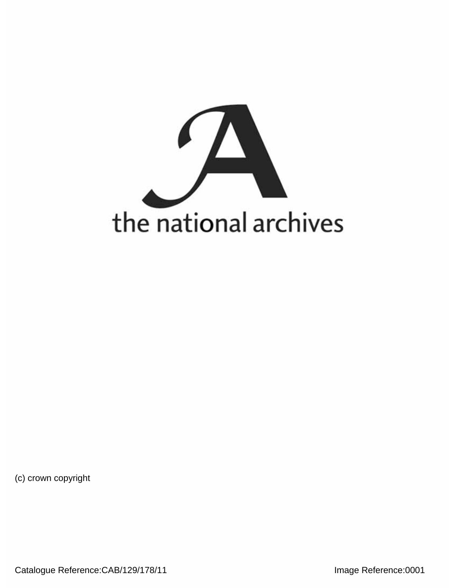

(c) crown copyright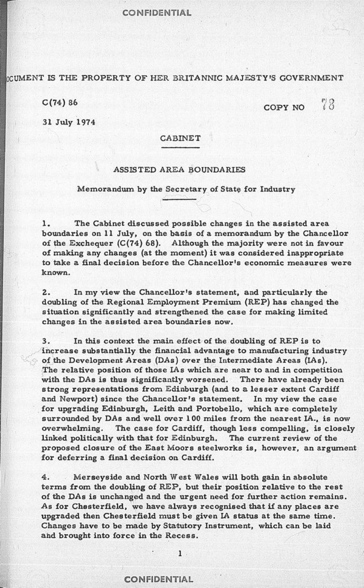### CONFIDENTIAL

D**OCUMENT IS THE PROPERTY OF HER BRITANNIC MAJESTY\*S GOVERNMENT** 

 $C(74) 86$   $COPY NO$   $88$ 

**3 1 Jul y 197 4** 

# **CABINET**

## **ASSISTE D ARE A BOUNDARIES**

#### **Memorandu m b y the Secretar y of Stat e fo r Industr y**

**1 . Th e Cabine t discusse d possibl e change s i n th e assiste d are a boundarie s on 11 July , on the basi s of a memorandu m b y the Chancello r of the Exchequer (C(74) 68).** Although the majority were not in favour **o f makin g an y change s (at the moment ) it wa s considere d inappropriat e t o tak e a fina l decisio n befor e th e Chancellor s economi c measure s wer e known .** 

**2 . In m y vie w th e Chancellor's statement , an d particularl y the doublin g of the Regiona l Employmen t Premiu m (REP ) ha s change d th e situatio n significantl y and strengthene d the cas e fo r makin g limite d change s i n the assiste d are a boundarie s now.** 

**3 . In this contex t the mai n effec t of the doublin g of RE P is t o increas e substantiall y the financia l advantag e t o manufacturin g industr y of the Developmen t Area s (DAs) ove r the Intermediat e Area s (IAs). T h e relativ e positio n of thos e IA s whic h ar e nea r t o and i n competitio n**  with the DAs is thus significantly worsened. There have already been **stron g representation s fro m Edinburg h (and to a lesse r exten t Cardiff**  and Newport) since the Chancellor's statement. In my view the case **f o r upgradin g Edinburgh , Leit h an d Portobello , whic h ar e completel y**  surrounded by DAs and well over 100 miles from the nearest IA., is now **overwhelming.** The case for Cardiff, though less compelling, is closely linked politically with that for Edinburgh. The current review of the **propose d closur e of th e Eas t Moor s steelwork s is , however , a n argumen t f o r deferrin g a fina l decisio n o n Cardiff.** 

**4 . Merseysid e an d Nort h Wes t Wale s wil l bot h gai n i n absolut e term s fro m the doublin g of REP , bu t thei r positio n relativ e t o the res t of th e DA s is unchange d and the urgen t nee d fo r furthe r actio n remains . A s fo r Chesterfield , w e hav e alway s recognise d tha t if an y place s ar e upgrade d then Chesterfiel d mus t b e give n IA statu s a t th e sam e time . Change s hav e t o be mad e b y Statutor y Instrument, whic h ca n b e lai d a n d brough t int o forc e i n th e Recess .** 

# **CONFIDENTIAL**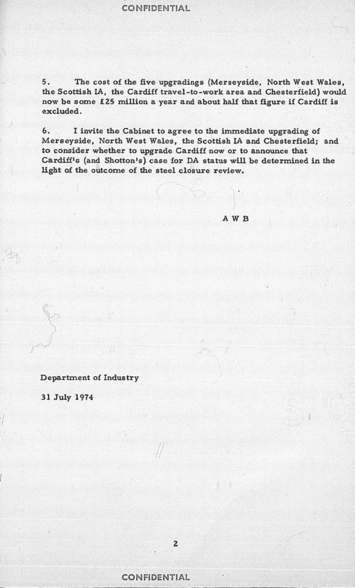CONFIDENTIAL

**5 . Th e cost of the fiv e upgrading s (Merseyside , Nort h West "Wales, t h e Scottis h LA, th e Cardiff travel-to-wor k are a and Chesterfield ) woul d n o w b e som e £2 5 millio n a yea r and abou t half tha t figur e if Cardiff i s excluded .** 

**6 . I invit e th e Cabine t to agre e t o the immediat e upgrading of Merseyside , Nort h West Wales, the Scottis h IA and Chesterfield ; and t o conside r whethe r t o upgrad e Cardiff now or t o announc e that Cardiff's (and Shotton's) cas e fo r DA statu s wil l b e determine d i n the ligh t of th e outcom e of the stee l closur e review .** 

**A W B** 

**Department of Industry** 

**3 1 Jul y 197 4** 

I

**CONFIDENTIAL**